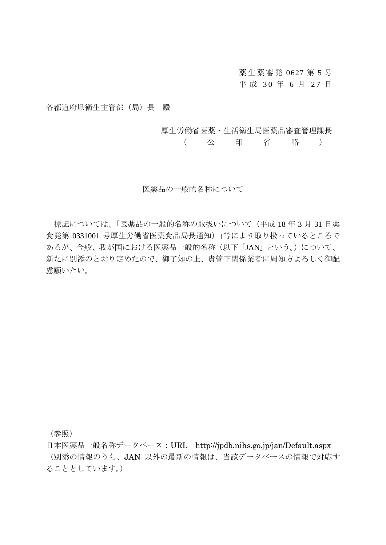薬生薬審発 0627 第 5 号 平 成 30 年 6 月 27 日

各都道府県衛生主管部(局)長 殿

厚生労働省医薬・生活衛生局医薬品審査管理課長

( 公 印 省 略 )

医薬品の一般的名称について

標記については、「医薬品の一般的名称の取扱いについて(平成 18 年 3 月 31 日薬 食発第 0331001 号厚生労働省医薬食品局長通知)」等により取り扱っているところで あるが、今般、我が国における医薬品一般的名称(以下「JAN」という。)について、 新たに別添のとおり定めたので、御了知の上、貴管下関係業者に周知方よろしく御配 慮願いたい。

(参照)

日本医薬品一般名称データベース:URL http://jpdb.nihs.go.jp/jan/Default.aspx (別添の情報のうち、JAN 以外の最新の情報は、当該データベースの情報で対応す ることとしています。)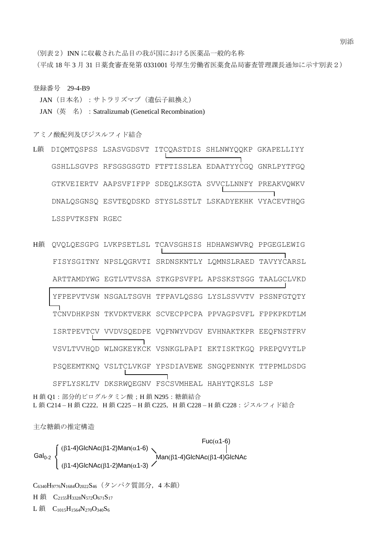(別表2) INN に収載された品目の我が国における医薬品一般的名称 (平成 18 年 3 月 31 日薬食審査発第 0331001 号厚生労働省医薬食品局審査管理課長通知に示す別表2)

登録番号 29-4-B9

JAN (日本名): サトラリズマブ (遺伝子組換え)

JAN (英 名) : Satralizumab (Genetical Recombination)

アミノ酸配列及びジスルフィド結合

- L鎖 DIQMTQSPSS LSASVGDSVT ITCQASTDIS SHLNWYQQKP GKAPELLIYY GSHLLSGVPS RFSGSGSGTD FTFTISSLEA EDAATYYCGQ GNRLPYTFGQ GTKVEIERTV AAPSVFIFPP SDEQLKSGTA SVVCLLNNFY PREAKVQWKV DNALQSGNSQ ESVTEQDSKD STYSLSSTLT LSKADYEKHK VYACEVTHQG LSSPVTKSFN RGEC
- H鎖 QVQLQESGPG LVKPSETLSL TCAVSGHSIS HDHAWSWVRQ PPGEGLEWIG FISYSGITNY NPSLQGRVTI SRDNSKNTLY LQMNSLRAED TAVYYCARSL ARTTAMDYWG EGTLVTVSSA STKGPSVFPL APSSKSTSGG TAALGCLVKD YFPEPVTVSW NSGALTSGVH TFPAVLQSSG LYSLSSVVTV PSSNFGTQTY TCNVDHKPSN TKVDKTVERK SCVECPPCPA PPVAGPSVFL FPPKPKDTLM ISRTPEVTCV VVDVSQEDPE VQFNWYVDGV EVHNAKTKPR EEQFNSTFRV VSVLTVVHQD WLNGKEYKCK VSNKGLPAPI EKTISKTKGQ PREPQVYTLP PSQEEMTKNQ VSLTCLVKGF YPSDIAVEWE SNGQPENNYK TTPPMLDSDG SFFLYSKLTV DKSRWQEGNV FSCSVMHEAL HAHYTQKSLS LSP H 鎖 Q1:部分的ピログルタミン酸;H 鎖 N295:糖鎖結合 L鎖 C214-H鎖 C222,H鎖 C225-H鎖 C225,H鎖 C228-H鎖 C228:ジスルフィド結合

主な糖鎖の推定構造

Gal<sub>0-2</sub>  $\left\{\n\begin{array}{c}\n\text{Man}(\beta1-4)\text{GlcNAc} \\
\text{Man}(\beta1-4)\text{GlcNAc}\n\end{array}\n\right\}$  $(\beta$ 1-4)GlcNAc $(\beta$ 1-2)Man $(\alpha$ 1-6)  $Fuc(\alpha 1-6)$  $(B1-4)G$ IcNAc $(\beta1-2)$ Man $(\alpha1-3)$ 

C6340H9776N1684O2022S46(タンパク質部分,4 本鎖) H 鎖 C<sub>2155</sub>H<sub>3328</sub>N<sub>572</sub>O<sub>671</sub>S<sub>17</sub>

 $L$ 鎖  $C_{1015}H_{1564}N_{270}O_{340}S_{6}$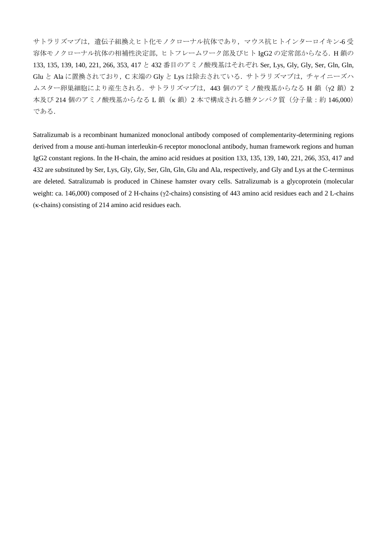サトラリズマブは,遺伝子組換えヒト化モノクローナル抗体であり,マウス抗ヒトインターロイキン-6 受 容体モノクローナル抗体の相補性決定部,ヒトフレームワーク部及びヒト IgG2 の定常部からなる.H 鎖の 133, 135, 139, 140, 221, 266, 353, 417 と 432 番目のアミノ酸残基はそれぞれ Ser, Lys, Gly, Gly, Ser, Gln, Gln, Glu と Ala に置換されており,C 末端の Gly と Lys は除去されている.サトラリズマブは,チャイニーズハ ムスター卵巣細胞により産生される. サトラリズマブは, 443 個のアミノ酸残基からなる H 鎖 (γ2鎖) 2 本及び 214 個のアミノ酸残基からなる L 鎖 (κ 鎖) 2 本で構成される糖タンパク質(分子量:約 146,000) である.

Satralizumab is a recombinant humanized monoclonal antibody composed of complementarity-determining regions derived from a mouse anti-human interleukin-6 receptor monoclonal antibody, human framework regions and human IgG2 constant regions. In the H-chain, the amino acid residues at position 133, 135, 139, 140, 221, 266, 353, 417 and 432 are substituted by Ser, Lys, Gly, Gly, Ser, Gln, Gln, Glu and Ala, respectively, and Gly and Lys at the C-terminus are deleted. Satralizumab is produced in Chinese hamster ovary cells. Satralizumab is a glycoprotein (molecular weight: ca. 146,000) composed of 2 H-chains (γ2-chains) consisting of 443 amino acid residues each and 2 L-chains (κ-chains) consisting of 214 amino acid residues each.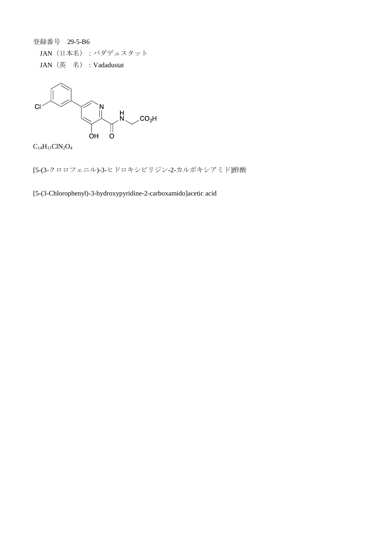登録番号 29-5-B6

JAN(日本名):バダデュスタット JAN(英 名):Vadadustat



 $\rm{C}_{14}H_{11}CN_2O_4$ 

[5-(3-クロロフェニル)-3-ヒドロキシピリジン-2-カルボキシアミド]酢酸

[5-(3-Chlorophenyl)-3-hydroxypyridine-2-carboxamido]acetic acid